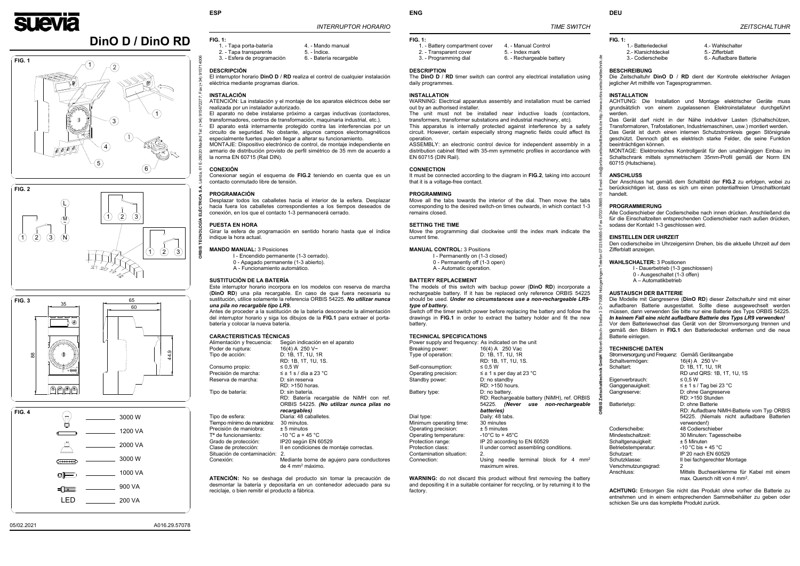

# **DinO D / DinO RD**

# *INTERRUPTOR HORARIO*

# **FIG. 1:**

9157  $-34)$ 

- 1. Tapa porta-batería  $\overline{a}$  4. Mando manual
- 
- 2. Tapa transparente 5. Índice.<br>3. Esfera de programación 6. Batería recargable 3. - Esfera de programación
	-

# **DESCRIPCIÓN**

 El interruptor horario **DinO D** / **RD** realiza el control de cualquier instalación eléctrica mediante programas diarios.

### **INSTALACIÓN**

El aparato no debe instalarse próximo a cargas inductivas (contactores, transformadores, centros de transformación, maquinaria industrial, etc.). El aparato está internamente protegido contra las interferencias por un circuito de seguridad. No obstante, algunos campos electromagnéticos especialmente fuertes pueden llegar a alterar su funcionamiento.

 ATENCIÓN: La instalación y el montaje de los aparatos eléctricos debe ser realizada por un instalador autorizado.

MONTAJE: Dispositivo electrónico de control, de montaje independiente en armario de distribución provisto de perfil simétrico de 35 mm de acuerdo a la norma EN 60715 (Rail DIN).

#### **CONEXIÓN**

 Conexionar según el esquema de **FIG.2** teniendo en cuenta que es un contacto conmutado libre de tensión.

#### **PROGRAMACIÓN**

 Desplazar todos los caballetes hacia el interior de la esfera. Desplazar hacia fuera los caballetes correspondientes a los tiempos deseados de conexión, en los que el contacto 1-3 permanecerá cerrado.

#### **PUESTA EN HORA**

 Girar la esfera de programación en sentido horario hasta que el índice indique la hora actual.

## **MANDO MANUAL:** 3 Posiciones

- I Encendido permanente (1-3 cerrado).
- 0 Apagado permanente (1-3 abierto).
- A Funcionamiento automático.

### **SUSTITUCIÓN DE LA BATERÍA**

 Este interruptor horario incorpora en los modelos con reserva de marcha (**DinO RD**) una pila recargable. En caso de que fuera necesaria su sustitución, utilice solamente la referencia ORBIS 54225. *No utilizar nunca una pila no recargable tipo LR9.*

The unit must not be installed near inductive loads (contactors, transformers, transformer substations and industrial machinery, etc).

Antes de proceder a la sustitución de la batería desconecte la alimentación del interruptor horario y siga los dibujos de la **FIG.1** para extraer el portabatería y colocar la nueva batería.

# **CARACTERISTICAS TÉCNICAS**

| Alimentación y frecuencia:             | Según indicación en el aparato                                             |
|----------------------------------------|----------------------------------------------------------------------------|
| Poder de ruptura:                      | 16(4) A 250 $V \sim$                                                       |
| Tipo de acción:                        | D: 1B, 1T, 1U, 1R                                                          |
|                                        | RD: 1B, 1T, 1U, 1S.                                                        |
| Consumo propio:                        | $\leq 0.5 W$                                                               |
| Precisión de marcha:                   | $\leq$ ± 1 s / día a 23 °C                                                 |
| Reserva de marcha:                     | D: sin reserva                                                             |
|                                        | RD: >150 horas.                                                            |
| Tipo de batería:                       | $D: \sin \theta$ batería.                                                  |
|                                        | RD: Batería recargable de NiMH con ref.                                    |
|                                        | ORBIS 54225. (No utilizar nunca pilas no                                   |
|                                        | recargables)                                                               |
| Tipo de esfera:                        | Diaria: 48 caballetes.                                                     |
| Tiempo mínimo de maniobra: 30 minutos. |                                                                            |
| Precisión de maniobra:                 | $± 5$ minutos                                                              |
| T <sup>a</sup> de funcionamiento:      | $-10$ °C a + 45 °C                                                         |
| Grado de protección:                   | IP20 según EN 60529                                                        |
| Clase de protección:                   | Il en condiciones de montaje correctas.                                    |
| Situación de contaminación:            | 2.                                                                         |
| Conexión:                              | Mediante borne de agujero para conductores<br>de 4 mm <sup>2</sup> máximo. |

**ATENCIÓN:** No se deshaga del producto sin tomar la precaución de desmontar la batería y depositarla en un contenedor adecuado para su reciclaje, o bien remitir el producto a fábrica.

**ENG** 

- 1. Battery compartment cover 4. Manual Control<br>2. Transparent cover 5. Index mark 2. - Transparent cover<br>3. - Programming dial
	-
	- 6. Rechargeable battery

 *TIME SWITCH*

#### **FIG. 1:**

## **DESCRIPTION**

 The **DinOD** / **RD** timer switch can control any electrical installation using daily programmes.

# **INSTALLATION**

 WARNING: Electrical apparatus assembly and installation must be carried out by an authorised installer.

This apparatus is internally protected against interference by a safety circuit. However, certain especially strong magnetic fields could affect its operation.

ASSEMBLY: an electronic control device for independent assembly in a distribution cabinet fitted with 35-mm symmetric profiles in accordance with EN 60715 (DIN Rail).

| Stromversorgung und Frequenz: Gemäß Geräteangabe |                                            |
|--------------------------------------------------|--------------------------------------------|
| Schaltvermögen:                                  | 16(4) A 250 $V \sim$                       |
| Schaltart:                                       | D: 1B, 1T, 1U, 1R                          |
|                                                  | RD und QRS: 1B, 1T, 1U, 1S                 |
| Eigenverbrauch:                                  | ≤ 0.5 W                                    |
| Ganggenauigkeit:                                 | $\leq \pm 1$ s / Tag bei 23 °C             |
| Gangreserve:                                     | D: ohne Gangreserve                        |
|                                                  | RD: >150 Stunden                           |
| Batterietyp:                                     | D: ohne Batterie                           |
|                                                  | RD: Aufladbare NiMH-Batterie vom Typ ORBIS |
|                                                  | 54225. (Niemals nicht aufladbare Batterien |
|                                                  | verwenden!)                                |
| Codierscheibe:                                   | 48 Codierschieber                          |
| Mindestschaltzeit:                               | 30 Minuten: Tagesscheibe                   |
| Schaltgenauigkeit:                               | $± 5$ Minuten                              |
| Betriebstemperatur:                              | -10 °C bis + 45 °C                         |
| Schutzart:                                       | IP 20 nach EN 60529                        |
| Schutzklasse:                                    | II bei fachgerechter Montage               |
| Verschmutzungsgrad:                              | 2                                          |
| Anschluss:                                       | Mittels Buchsenklemme für Kabel mit einem  |
|                                                  | max. Quersch nitt von 4 mm <sup>2</sup> .  |
|                                                  |                                            |
|                                                  |                                            |

#### **CONNECTION**

 It must be connected according to the diagram in **FIG.2**, taking into account that it is a voltage-free contact.

#### **PROGRAMMING**

Move all the tabs towards the interior of the dial. Then move the tabs corresponding to the desired switch-on times outwards, in which contact 1-3 remains closed.

#### **SETTING THE TIME**

 Move the programming dial clockwise until the index mark indicate the current time.

#### **MANUAL CONTROL:** 3 Positions

- I Permanently on (1-3 closed)
- 0 Permanently off (1-3 open)
- A Automatic operation.

### **BATTERY REPLACEMENT**

 The models of this switch with backup power (**DinO RD**) incorporate a rechargeable battery. If it has be replaced only reference ORBIS 54225 should be used. *Under no circumstances use a non-rechargeable LR9 type of battery.*

Switch off the timer switch power before replacing the battery and follow the drawings in **FIG.1** in order to extract the battery holder and fit the new battery.

#### **TECHNICAL SPECIFICATIONS**

| Power supply and frequency: As indicated on the unit |                                                         |
|------------------------------------------------------|---------------------------------------------------------|
| Breaking power:                                      | 16(4) A 250 Vac                                         |
| Type of operation:                                   | D: 1B, 1T, 1U, 1R                                       |
|                                                      | RD: 1B, 1T, 1U, 1S.                                     |
| Self-consumption:                                    | $\leq 0.5$ W                                            |
| Operating precision:                                 | $\leq \pm 1$ s per day at 23 °C                         |
| Standby power:                                       | D: no standby                                           |
|                                                      | RD: >150 hours.                                         |
| Battery type:                                        | D: no battery.                                          |
|                                                      | RD: Rechargeable battery (NiMH), ref. ORBIS             |
|                                                      | 54225. (Never use non-rechargeable                      |
|                                                      | batteries)                                              |
| Dial type:                                           | Daily: 48 tabs.                                         |
| Minimum operating time:                              | 30 minutes                                              |
| Operating precision:                                 | $± 5$ minutes                                           |
| Operating temperature:                               | $-10^{\circ}$ C to + 45 $^{\circ}$ C                    |
| Protection range:                                    | IP 20 according to EN 60529                             |
| Protection class:                                    | II under correct assembling conditions.                 |
| Contamination situation:                             | 2.                                                      |
| Connection:                                          | needle terminal block for 4<br>Using<br>mm <sup>2</sup> |
|                                                      | maximum wires.                                          |

**WARNING:** do not discard this product without first removing the battery and depositing it in a suitable container for recycling, or by returning it to the factory.

# **FIG. 1:**

- 1.- Batteriedeckel 4.- Wahlschalter
- 2.- Klarsichtdeckel 5.- Zifferblatt
- 3.- Codierscheibe 6.- Aufladbare Batterie
- 
- -

# **BESCHREIBUNG**

 Die Zeitschaltuhr **DinOD** / **RD** dient der Kontrolle elektrischer Anlagen jeglicher Art mithilfe von Tagesprogrammen.

#### **INSTALLATION**

 ACHTUNG: Die Installation und Montage elektrischer Geräte muss grundsätzlich von einem zugelassenen Elektroinstallateur durchgeführt werden.

 Das Gerät darf nicht in der Nähe induktiver Lasten (Schaltschützen, Transformatoren, Trafostationen, Industriemaschinen, usw.) montiert werden. Das Gerät ist durch einen internen Schutzstromkreis gegen Störsignale geschützt. Dennoch gibt es elektrisch starke Felder, die seine Funktion

beeinträchtigen können.

MONTAGE: Elektronisches Kontrollgerät für den unabhängigen Einbau im Schaltschrank mittels symmetrischem 35mm-Profil gemäß der Norm EN 60715 (Hutschiene).

# **ANSCHLUSS**

 Der Anschluss hat gemäß dem Schaltbild der **FIG.2** zu erfolgen, wobei zu berücksichtigen ist, dass es sich um einen potentialfreien Umschaltkontakt handelt.

# **PROGRAMMIERUNG**

 Alle Codierschieber der Codierscheibe nach innen drücken. Anschließend die für die Einschaltzeiten entsprechenden Codierschieber nach außen drücken, sodass der Kontakt 1-3 geschlossen wird.

#### **EINSTELLEN DER UHRZEIT**

 Den codierscheibe im Uhrzeigersinn Drehen, bis die aktuelle Uhrzeit auf dem Zifferblatt anzeigen.

**WAHLSCHALTER:** 3 Positionen

I - Dauerbetrieb (1-3 geschlossen)

- 0 Ausgeschaltet (1-3 offen)
- A Automatikbetrieb

### **AUSTAUSCH DER BATTERIE**

 Die Modelle mit Gangreserve (**DinO RD**) dieser Zeitschaltuhr sind mit einer aufladbaren Batterie ausgestattet. Sollte diese ausgewechselt werden müssen, dann verwenden Sie bitte nur eine Batterie des Typs ORBIS 54225. *In keinem Fall eine nicht aufladbare Batterie des Typs LR9 verwenden!*  Vor dem Batteriewechsel das Gerät von der Stromversorgung trennen und gemäß den Bildern in **FIG.1** den Batteriedeckel entfernen und die neue Batterie einlegen.

# **TECHNISCHE DATEN**

**ACHTUNG:** Entsorgen Sie nicht das Produkt ohne vorher die Batterie zu entnehmen und in einem entsprechenden Sammelbehälter zu geben oder schicken Sie uns das komplette Produkt zurück.









**ORBIS TECNOLOGÍA ELÉCTRICA S.A.** Lérida, 61 E-28020 Madrid Tel: (+34) 915672277; Fax:(+34) 915714006

 $\overline{a}$ 

**COTON:** 

 $(+34)91567$ 

**ORBIS Zeitschalttechnik GmbH** Robert-Bosch- Straße 3 D-71088 Holzgerlingen Telefon 07031/8665-0 Fax 07031/8665-10 E-mail: info@orbis-zeitschalttechnik.de http://www.orbis-zeitschalttechnik.de